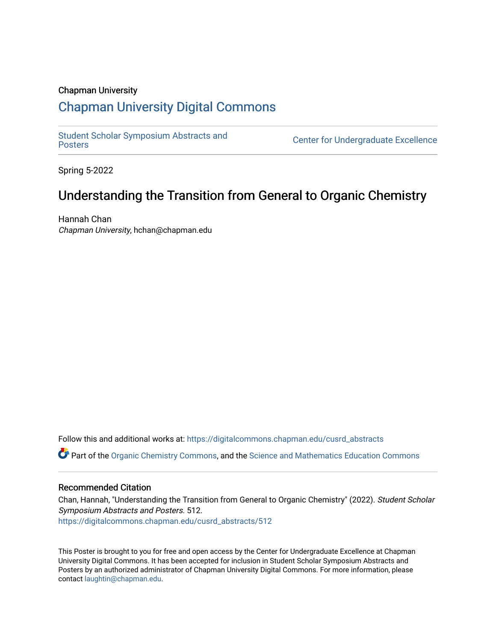### Chapman University

### [Chapman University Digital Commons](https://digitalcommons.chapman.edu/)

[Student Scholar Symposium Abstracts and](https://digitalcommons.chapman.edu/cusrd_abstracts) 

**Center for Undergraduate Excellence** 

Spring 5-2022

### Understanding the Transition from General to Organic Chemistry

Hannah Chan Chapman University, hchan@chapman.edu

Follow this and additional works at: [https://digitalcommons.chapman.edu/cusrd\\_abstracts](https://digitalcommons.chapman.edu/cusrd_abstracts?utm_source=digitalcommons.chapman.edu%2Fcusrd_abstracts%2F512&utm_medium=PDF&utm_campaign=PDFCoverPages) 

Part of the [Organic Chemistry Commons,](http://network.bepress.com/hgg/discipline/138?utm_source=digitalcommons.chapman.edu%2Fcusrd_abstracts%2F512&utm_medium=PDF&utm_campaign=PDFCoverPages) and the [Science and Mathematics Education Commons](http://network.bepress.com/hgg/discipline/800?utm_source=digitalcommons.chapman.edu%2Fcusrd_abstracts%2F512&utm_medium=PDF&utm_campaign=PDFCoverPages)

### Recommended Citation

Chan, Hannah, "Understanding the Transition from General to Organic Chemistry" (2022). Student Scholar Symposium Abstracts and Posters. 512. [https://digitalcommons.chapman.edu/cusrd\\_abstracts/512](https://digitalcommons.chapman.edu/cusrd_abstracts/512?utm_source=digitalcommons.chapman.edu%2Fcusrd_abstracts%2F512&utm_medium=PDF&utm_campaign=PDFCoverPages) 

This Poster is brought to you for free and open access by the Center for Undergraduate Excellence at Chapman University Digital Commons. It has been accepted for inclusion in Student Scholar Symposium Abstracts and Posters by an authorized administrator of Chapman University Digital Commons. For more information, please contact [laughtin@chapman.edu](mailto:laughtin@chapman.edu).